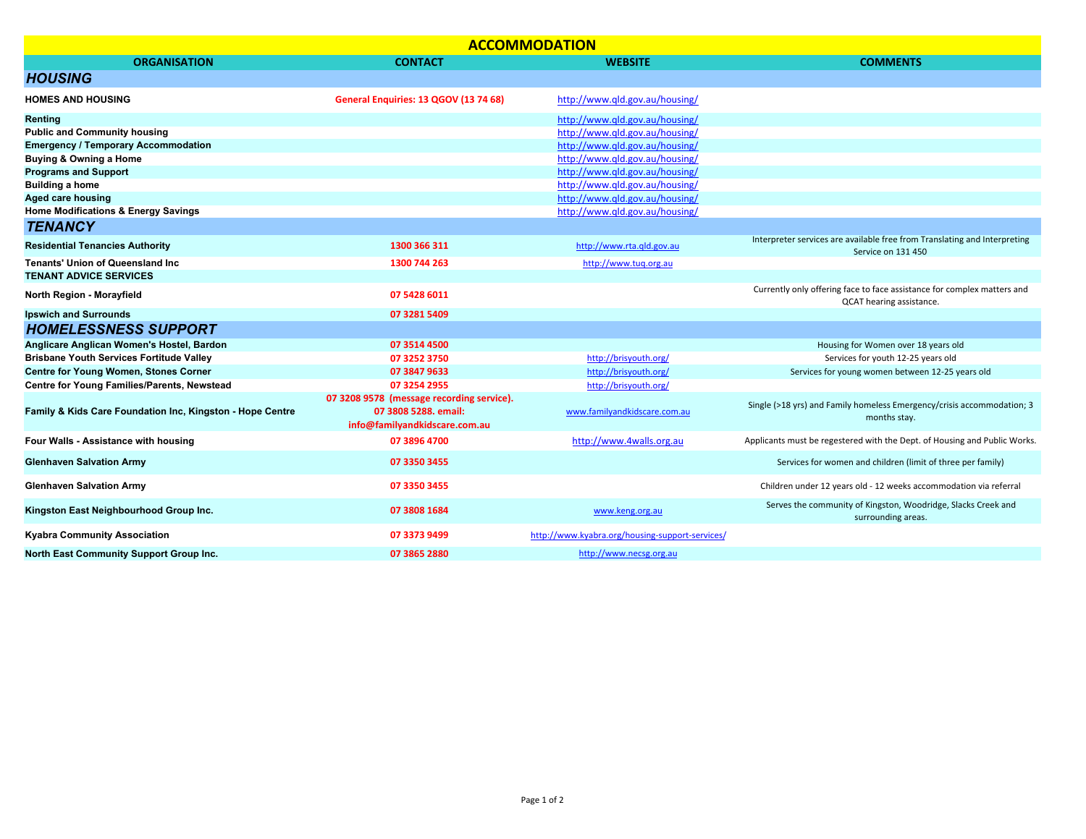| <b>ACCOMMODATION</b>                                      |                                           |                                                 |                                                                                                     |  |  |
|-----------------------------------------------------------|-------------------------------------------|-------------------------------------------------|-----------------------------------------------------------------------------------------------------|--|--|
| <b>ORGANISATION</b>                                       | <b>CONTACT</b>                            | <b>WEBSITE</b>                                  | <b>COMMENTS</b>                                                                                     |  |  |
| <b>HOUSING</b>                                            |                                           |                                                 |                                                                                                     |  |  |
| <b>HOMES AND HOUSING</b>                                  | General Enquiries: 13 QGOV (13 74 68)     | http://www.qld.gov.au/housing/                  |                                                                                                     |  |  |
| <b>Renting</b>                                            |                                           | http://www.gld.gov.au/housing/                  |                                                                                                     |  |  |
| <b>Public and Community housing</b>                       |                                           | http://www.gld.gov.au/housing/                  |                                                                                                     |  |  |
| <b>Emergency / Temporary Accommodation</b>                |                                           | http://www.gld.gov.au/housing/                  |                                                                                                     |  |  |
| Buying & Owning a Home                                    |                                           | http://www.gld.gov.au/housing/                  |                                                                                                     |  |  |
| <b>Programs and Support</b>                               |                                           | http://www.gld.gov.au/housing/                  |                                                                                                     |  |  |
| <b>Building a home</b>                                    |                                           | http://www.qld.gov.au/housing/                  |                                                                                                     |  |  |
| <b>Aged care housing</b>                                  |                                           | http://www.gld.gov.au/housing/                  |                                                                                                     |  |  |
| <b>Home Modifications &amp; Energy Savings</b>            |                                           | http://www.qld.gov.au/housing/                  |                                                                                                     |  |  |
| <b>TENANCY</b>                                            |                                           |                                                 |                                                                                                     |  |  |
| <b>Residential Tenancies Authority</b>                    | 1300 366 311                              | http://www.rta.gld.gov.au                       | Interpreter services are available free from Translating and Interpreting<br>Service on 131 450     |  |  |
| <b>Tenants' Union of Queensland Inc.</b>                  | 1300 744 263                              | http://www.tuq.org.au                           |                                                                                                     |  |  |
| <b>TENANT ADVICE SERVICES</b>                             |                                           |                                                 |                                                                                                     |  |  |
| North Region - Morayfield                                 | 07 5428 6011                              |                                                 | Currently only offering face to face assistance for complex matters and<br>QCAT hearing assistance. |  |  |
| <b>Ipswich and Surrounds</b>                              | 07 3281 5409                              |                                                 |                                                                                                     |  |  |
| <b>HOMELESSNESS SUPPORT</b>                               |                                           |                                                 |                                                                                                     |  |  |
| Anglicare Anglican Women's Hostel, Bardon                 | 07 3514 4500                              |                                                 | Housing for Women over 18 years old                                                                 |  |  |
| <b>Brisbane Youth Services Fortitude Valley</b>           | 07 3252 3750                              | http://brisyouth.org/                           | Services for youth 12-25 years old                                                                  |  |  |
| <b>Centre for Young Women, Stones Corner</b>              | 07 3847 9633                              | http://brisyouth.org/                           | Services for young women between 12-25 years old                                                    |  |  |
| Centre for Young Families/Parents, Newstead               | 07 3254 2955                              | http://brisyouth.org/                           |                                                                                                     |  |  |
|                                                           | 07 3208 9578 (message recording service). |                                                 |                                                                                                     |  |  |
| Family & Kids Care Foundation Inc, Kingston - Hope Centre | 07 3808 5288. email:                      | www.familyandkidscare.com.au                    | Single (>18 yrs) and Family homeless Emergency/crisis accommodation; 3                              |  |  |
|                                                           | info@familyandkidscare.com.au             |                                                 | months stay.                                                                                        |  |  |
| Four Walls - Assistance with housing                      | 07 3896 4700                              | http://www.4walls.org.au                        | Applicants must be regestered with the Dept. of Housing and Public Works.                           |  |  |
| <b>Glenhaven Salvation Army</b>                           | 07 3350 3455                              |                                                 | Services for women and children (limit of three per family)                                         |  |  |
| <b>Glenhaven Salvation Army</b>                           | 07 3350 3455                              |                                                 | Children under 12 years old - 12 weeks accommodation via referral                                   |  |  |
| Kingston East Neighbourhood Group Inc.                    | 07 3808 1684                              | www.keng.org.au                                 | Serves the community of Kingston, Woodridge, Slacks Creek and<br>surrounding areas.                 |  |  |
| <b>Kyabra Community Association</b>                       | 07 3373 9499                              | http://www.kvabra.org/housing-support-services/ |                                                                                                     |  |  |
| North East Community Support Group Inc.                   | 07 3865 2880                              | http://www.necsg.org.au                         |                                                                                                     |  |  |